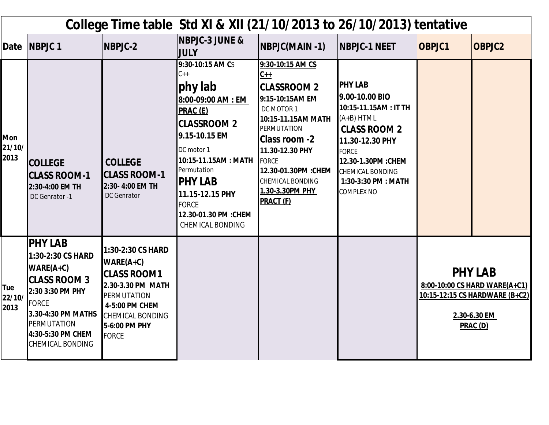| College Time table Std XI & XII (21/10/2013 to 26/10/2013) tentative |                                                                                                                                                                                                           |                                                                                                                                                                          |                                                                                                                                                                                                                                                                                   |                                                                                                                                                                                                                                                                            |                                                                                                                                                                                                                                  |                                                                                                               |               |  |  |  |  |
|----------------------------------------------------------------------|-----------------------------------------------------------------------------------------------------------------------------------------------------------------------------------------------------------|--------------------------------------------------------------------------------------------------------------------------------------------------------------------------|-----------------------------------------------------------------------------------------------------------------------------------------------------------------------------------------------------------------------------------------------------------------------------------|----------------------------------------------------------------------------------------------------------------------------------------------------------------------------------------------------------------------------------------------------------------------------|----------------------------------------------------------------------------------------------------------------------------------------------------------------------------------------------------------------------------------|---------------------------------------------------------------------------------------------------------------|---------------|--|--|--|--|
| Date                                                                 | <b>NBPJC1</b>                                                                                                                                                                                             | NBPJC-2                                                                                                                                                                  | <b>NBPJC-3 JUNE &amp;</b><br><b>JULY</b>                                                                                                                                                                                                                                          | NBPJC(MAIN -1)                                                                                                                                                                                                                                                             | <b>NBPJC-1 NEET</b>                                                                                                                                                                                                              | <b>OBPJC1</b>                                                                                                 | <b>OBPJC2</b> |  |  |  |  |
| <b>Mon</b><br>21/10/<br>2013                                         | <b>COLLEGE</b><br><b>CLASS ROOM-1</b><br>2:30-4:00 EM TH<br>DC Genrator -1                                                                                                                                | <b>COLLEGE</b><br><b>CLASS ROOM-1</b><br>2:30-4:00 EM TH<br><b>DC</b> Genrator                                                                                           | 9:30-10:15 AM CS<br>$C++$<br>phy lab<br>8:00-09:00 AM : EM<br><b>PRAC (E)</b><br><b>CLASSROOM 2</b><br>9.15-10.15 EM<br>DC motor 1<br>10:15-11.15AM: MATH<br>Permutation<br><b>IPHY LAB</b><br>11.15-12.15 PHY<br><b>FORCE</b><br>12.30-01.30 PM :CHEM<br><b>CHEMICAL BONDING</b> | 9:30-10:15 AM CS<br>$C++$<br><b>CLASSROOM 2</b><br>9:15-10:15AM EM<br>DC MOTOR 1<br>10:15-11.15AM MATH<br><b>PERMUTATION</b><br><b>Class room -2</b><br>11.30-12.30 PHY<br><b>FORCE</b><br>12.30-01.30PM : CHEM<br><b>CHEMICAL BONDING</b><br>1.30-3.30PM PHY<br>PRACT (F) | <b>PHY LAB</b><br>9.00-10.00 BIO<br>10:15-11.15AM: IT TH<br>$(A+B)$ HTML<br><b>CLASS ROOM 2</b><br>11.30-12.30 PHY<br><b>FORCE</b><br>12.30-1.30PM : CHEM<br><b>CHEMICAL BONDING</b><br>1:30-3:30 PM : MATH<br><b>COMPLEX NO</b> |                                                                                                               |               |  |  |  |  |
| Tue<br>22/10/<br>2013                                                | <b>PHY LAB</b><br>1:30-2:30 CS HARD<br>$WARE(A+C)$<br><b>CLASS ROOM 3</b><br>2:30 3:30 PM PHY<br><b>FORCE</b><br>3.30-4:30 PM MATHS<br><b>PERMUTATION</b><br>4:30-5:30 PM CHEM<br><b>CHEMICAL BONDING</b> | 1:30-2:30 CS HARD<br>$WARE(A+C)$<br><b>CLASS ROOM1</b><br>2.30-3.30 PM MATH<br>PERMUTATION<br>4-5:00 PM CHEM<br><b>CHEMICAL BONDING</b><br>5-6:00 PM PHY<br><b>FORCE</b> |                                                                                                                                                                                                                                                                                   |                                                                                                                                                                                                                                                                            |                                                                                                                                                                                                                                  | <b>PHY LAB</b><br>8:00-10:00 CS HARD WARE(A+C1)<br>10:15-12:15 CS HARDWARE (B+C2)<br>2.30-6.30 EM<br>PRAC (D) |               |  |  |  |  |